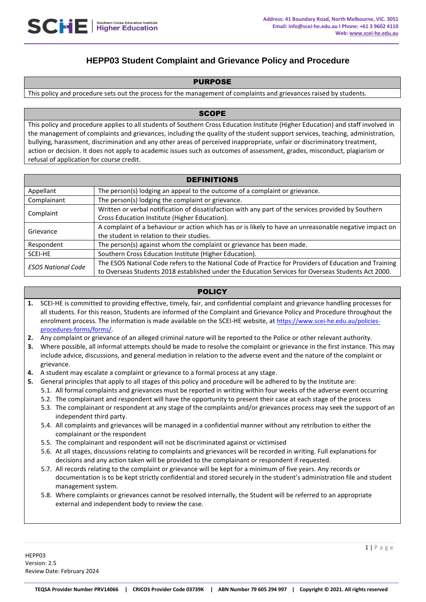# **HEPP03 Student Complaint and Grievance Policy and Procedure**

# PURPOSE

This policy and procedure sets out the process for the management of complaints and grievances raised by students.

# **SCOPE**

This policy and procedure applies to all students of Southern Cross Education Institute (Higher Education) and staff involved in the management of complaints and grievances, including the quality of the student support services, teaching, administration, bullying, harassment, discrimination and any other areas of perceived inappropriate, unfair or discriminatory treatment, action or decision. It does not apply to academic issues such as outcomes of assessment, grades, misconduct, plagiarism or refusal of application for course credit.

| <b>DEFINITIONS</b>        |                                                                                                        |
|---------------------------|--------------------------------------------------------------------------------------------------------|
| Appellant                 | The person(s) lodging an appeal to the outcome of a complaint or grievance.                            |
| Complainant               | The person(s) lodging the complaint or grievance.                                                      |
| Complaint                 | Written or verbal notification of dissatisfaction with any part of the services provided by Southern   |
|                           | Cross Education Institute (Higher Education).                                                          |
| Grievance                 | A complaint of a behaviour or action which has or is likely to have an unreasonable negative impact on |
|                           | the student in relation to their studies.                                                              |
| Respondent                | The person(s) against whom the complaint or grievance has been made.                                   |
| SCEI-HE                   | Southern Cross Education Institute (Higher Education).                                                 |
| <b>ESOS National Code</b> | The ESOS National Code refers to the National Code of Practice for Providers of Education and Training |
|                           | to Overseas Students 2018 established under the Education Services for Overseas Students Act 2000.     |

# **POLICY**

- **1.** SCEI-HE is committed to providing effective, timely, fair, and confidential complaint and grievance handling processes for all students. For this reason, Students are informed of the Complaint and Grievance Policy and Procedure throughout the enrolment process. The information is made available on the SCEI-HE website, at [https://www.scei-he.edu.au/policies](https://www.google.com/url?q=https://www.scei-he.edu.au/policies-procedures-forms/forms/&sa=D&source=hangouts&ust=1614314491339000&usg=AFQjCNFWlodqnzAKbpjnN7MCgOS-AxjdNw)[procedures-forms/forms/.](https://www.google.com/url?q=https://www.scei-he.edu.au/policies-procedures-forms/forms/&sa=D&source=hangouts&ust=1614314491339000&usg=AFQjCNFWlodqnzAKbpjnN7MCgOS-AxjdNw)
- **2.** Any complaint or grievance of an alleged criminal nature will be reported to the Police or other relevant authority.
- **3.** Where possible, all informal attempts should be made to resolve the complaint or grievance in the first instance. This may include advice, discussions, and general mediation in relation to the adverse event and the nature of the complaint or grievance.
- **4.** A student may escalate a complaint or grievance to a formal process at any stage.
- **5.** General principles that apply to all stages of this policy and procedure will be adhered to by the Institute are:
	- 5.1. All formal complaints and grievances must be reported in writing within four weeks of the adverse event occurring
	- 5.2. The complainant and respondent will have the opportunity to present their case at each stage of the process
	- 5.3. The complainant or respondent at any stage of the complaints and/or grievances process may seek the support of an independent third party.
	- 5.4. All complaints and grievances will be managed in a confidential manner without any retribution to either the complainant or the respondent
	- 5.5. The complainant and respondent will not be discriminated against or victimised
	- 5.6. At all stages, discussions relating to complaints and grievances will be recorded in writing. Full explanations for decisions and any action taken will be provided to the complainant or respondent if requested.
	- 5.7. All records relating to the complaint or grievance will be kept for a minimum of five years. Any records or documentation is to be kept strictly confidential and stored securely in the student's administration file and student management system.
	- 5.8. Where complaints or grievances cannot be resolved internally, the Student will be referred to an appropriate external and independent body to review the case.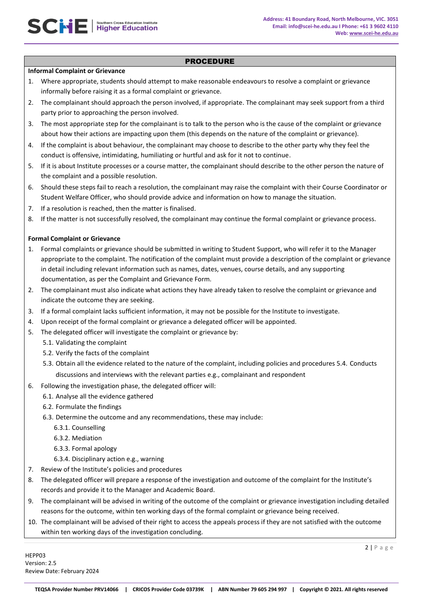## PROCEDURE

#### **Informal Complaint or Grievance**

- 1. Where appropriate, students should attempt to make reasonable endeavours to resolve a complaint or grievance informally before raising it as a formal complaint or grievance.
- 2. The complainant should approach the person involved, if appropriate. The complainant may seek support from a third party prior to approaching the person involved.
- 3. The most appropriate step for the complainant is to talk to the person who is the cause of the complaint or grievance about how their actions are impacting upon them (this depends on the nature of the complaint or grievance).
- 4. If the complaint is about behaviour, the complainant may choose to describe to the other party why they feel the conduct is offensive, intimidating, humiliating or hurtful and ask for it not to continue.
- 5. If it is about Institute processes or a course matter, the complainant should describe to the other person the nature of the complaint and a possible resolution.
- 6. Should these steps fail to reach a resolution, the complainant may raise the complaint with their Course Coordinator or Student Welfare Officer, who should provide advice and information on how to manage the situation.
- 7. If a resolution is reached, then the matter is finalised.
- 8. If the matter is not successfully resolved, the complainant may continue the formal complaint or grievance process.

# **Formal Complaint or Grievance**

- 1. Formal complaints or grievance should be submitted in writing to Student Support, who will refer it to the Manager appropriate to the complaint. The notification of the complaint must provide a description of the complaint or grievance in detail including relevant information such as names, dates, venues, course details, and any supporting documentation, as per the Complaint and Grievance Form.
- 2. The complainant must also indicate what actions they have already taken to resolve the complaint or grievance and indicate the outcome they are seeking.
- 3. If a formal complaint lacks sufficient information, it may not be possible for the Institute to investigate.
- 4. Upon receipt of the formal complaint or grievance a delegated officer will be appointed.
- 5. The delegated officer will investigate the complaint or grievance by:
	- 5.1. Validating the complaint
	- 5.2. Verify the facts of the complaint
	- 5.3. Obtain all the evidence related to the nature of the complaint, including policies and procedures 5.4. Conducts
	- discussions and interviews with the relevant parties e.g., complainant and respondent
- 6. Following the investigation phase, the delegated officer will:
	- 6.1. Analyse all the evidence gathered
	- 6.2. Formulate the findings
	- 6.3. Determine the outcome and any recommendations, these may include:
		- 6.3.1. Counselling
		- 6.3.2. Mediation
		- 6.3.3. Formal apology
		- 6.3.4. Disciplinary action e.g., warning
- 7. Review of the Institute's policies and procedures
- 8. The delegated officer will prepare a response of the investigation and outcome of the complaint for the Institute's records and provide it to the Manager and Academic Board.
- 9. The complainant will be advised in writing of the outcome of the complaint or grievance investigation including detailed reasons for the outcome, within ten working days of the formal complaint or grievance being received.
- 10. The complainant will be advised of their right to access the appeals process if they are not satisfied with the outcome within ten working days of the investigation concluding.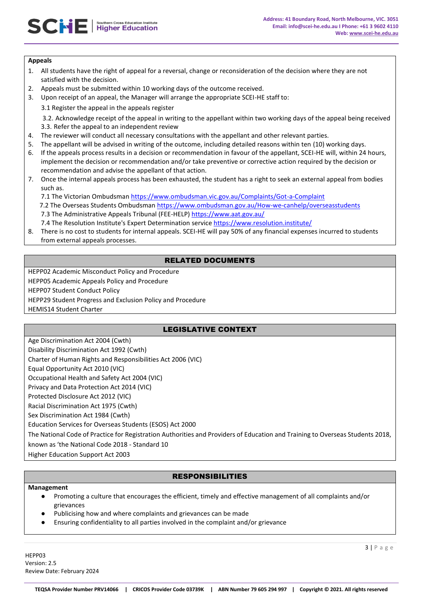# **Appeals**

- 1. All students have the right of appeal for a reversal, change or reconsideration of the decision where they are not satisfied with the decision.
- 2. Appeals must be submitted within 10 working days of the outcome received.
- 3. Upon receipt of an appeal, the Manager will arrange the appropriate SCEI-HE staff to:
	- 3.1 Register the appeal in the appeals register

3.2. Acknowledge receipt of the appeal in writing to the appellant within two working days of the appeal being received 3.3. Refer the appeal to an independent review

- 4. The reviewer will conduct all necessary consultations with the appellant and other relevant parties.
- 5. The appellant will be advised in writing of the outcome, including detailed reasons within ten (10) working days.
- 6. If the appeals process results in a decision or recommendation in favour of the appellant, SCEI-HE will, within 24 hours, implement the decision or recommendation and/or take preventive or corrective action required by the decision or recommendation and advise the appellant of that action.
- 7. Once the internal appeals process has been exhausted, the student has a right to seek an external appeal from bodies such as.

7.1 The Victorian Ombudsman<https://www.ombudsman.vic.gov.au/Complaints/Got-a-Complaint>

7.2 The Overseas Students Ombudsma[n https://www.ombudsman.gov.au/How-we-canhelp/overseasstudents](https://www.ombudsman.gov.au/How-we-can-help/overseas-students) 7.3 The Administrative Appeals Tribunal (FEE-HELP)<https://www.aat.gov.au/>

- 7.4 The Resolution Institute's Expert Determination service <https://www.resolution.institute/>
- 8. There is no cost to students for internal appeals. SCEI-HE will pay 50% of any financial expenses incurred to students from external appeals processes.

# RELATED DOCUMENTS

HEPP02 Academic Misconduct Policy and Procedure

HEPP05 Academic Appeals Policy and Procedure

HEPP07 Student Conduct Policy

HEPP29 Student Progress and Exclusion Policy and Procedure

HEMIS14 Student Charter

# LEGISLATIVE CONTEXT

Age Discrimination Act 2004 (Cwth) Disability Discrimination Act 1992 (Cwth) Charter of Human Rights and Responsibilities Act 2006 (VIC) Equal Opportunity Act 2010 (VIC) Occupational Health and Safety Act 2004 (VIC) Privacy and Data Protection Act 2014 (VIC) Protected Disclosure Act 2012 (VIC) Racial Discrimination Act 1975 (Cwth) Sex Discrimination Act 1984 (Cwth) Education Services for Overseas Students (ESOS) Act 2000 The National Code of Practice for Registration Authorities and Providers of Education and Training to Overseas Students 2018, known as 'the National Code 2018 - Standard 10 Higher Education Support Act 2003

# RESPONSIBILITIES

#### **Management**

- Promoting a culture that encourages the efficient, timely and effective management of all complaints and/or grievances
- Publicising how and where complaints and grievances can be made
- Ensuring confidentiality to all parties involved in the complaint and/or grievance

HEPP03 Version: 2.5 Review Date: February 2024